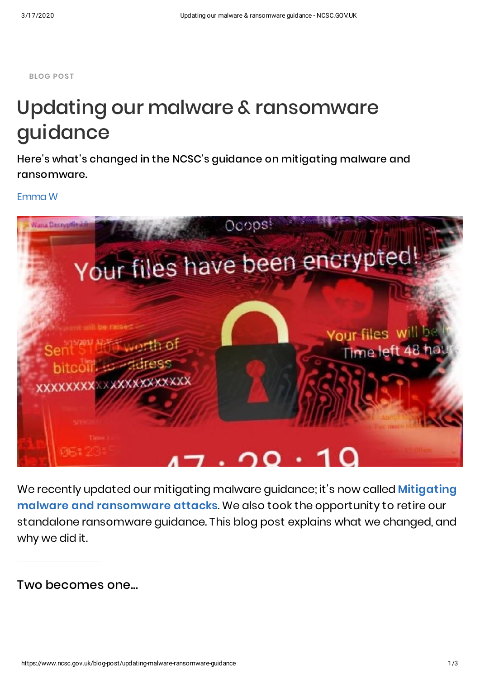**BLOG POST**

## Updating our malware & ransomware guidance

Here's what's changed in the NCSC's guidance on mitigating malware and ransomware.

[Emma](https://www.ncsc.gov.uk/person/emma-w) W



We recently updated our mitigating malware guidance; it's now called **Mitigating malware and [ransomware](https://www.ncsc.gov.uk/guidance/mitigating-malware-and-ransomware-attacks) attacks**. We also took the opportunity to retire our standalone ransomware guidance. This blog post explains what we changed, and why we did it.

Two becomes one...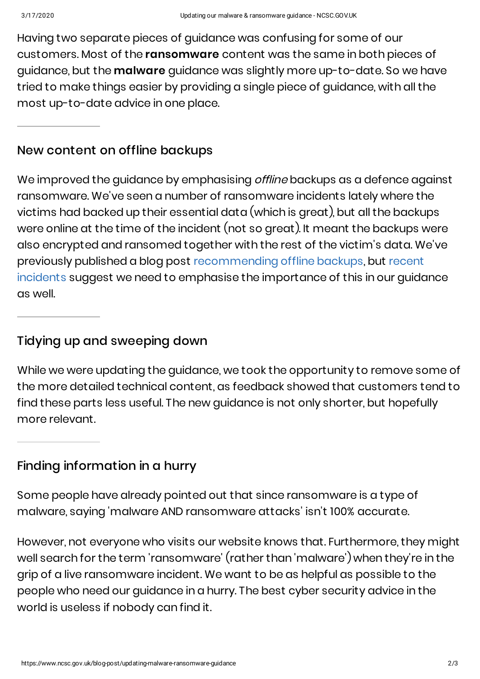Having two separate pieces of guidance was confusing for some of our customers. Most of the **ransomware** content was the same in both pieces of guidance, but the **malware** guidance was slightly more up-to-date. So we have tried to make things easier by providing a single piece of guidance, with all the most up-to-date advice in one place.

## New content on offline backups

We improved the guidance by emphasising *offline* backups as a defence against ransomware. We've seen a number of ransomware incidents lately where the victims had backed up their essential data (which is great), but all the backups were online at the time of the incident (not so great). It meant the backups were also encrypted and ransomed together with the rest of the victim's data. We've previously published a blog post [recommending](https://www.ncsc.gov.uk/blog-post/offline-backups-in-an-online-world) offline backups, but recent incidents suggest we need to emphasise the importance of this in our guidance as well.

## Tidying up and sweeping down

While we were updating the guidance, we took the opportunity to remove some of the more detailed technical content, as feedback showed that customers tend to find these parts less useful. The new guidance is not only shorter, but hopefully more relevant.

Finding information in a hurry

Some people have already pointed out that since ransomware is a type of malware, saying 'malware AND ransomware attacks' isn't 100% accurate.

However, not everyone who visits our website knows that. Furthermore, they might well search for the term 'ransomware' (rather than 'malware') when they're in the grip of a live ransomware incident. We want to be as helpful as possible to the people who need our guidance in a hurry. The best cyber security advice in the world is useless if nobody can find it.